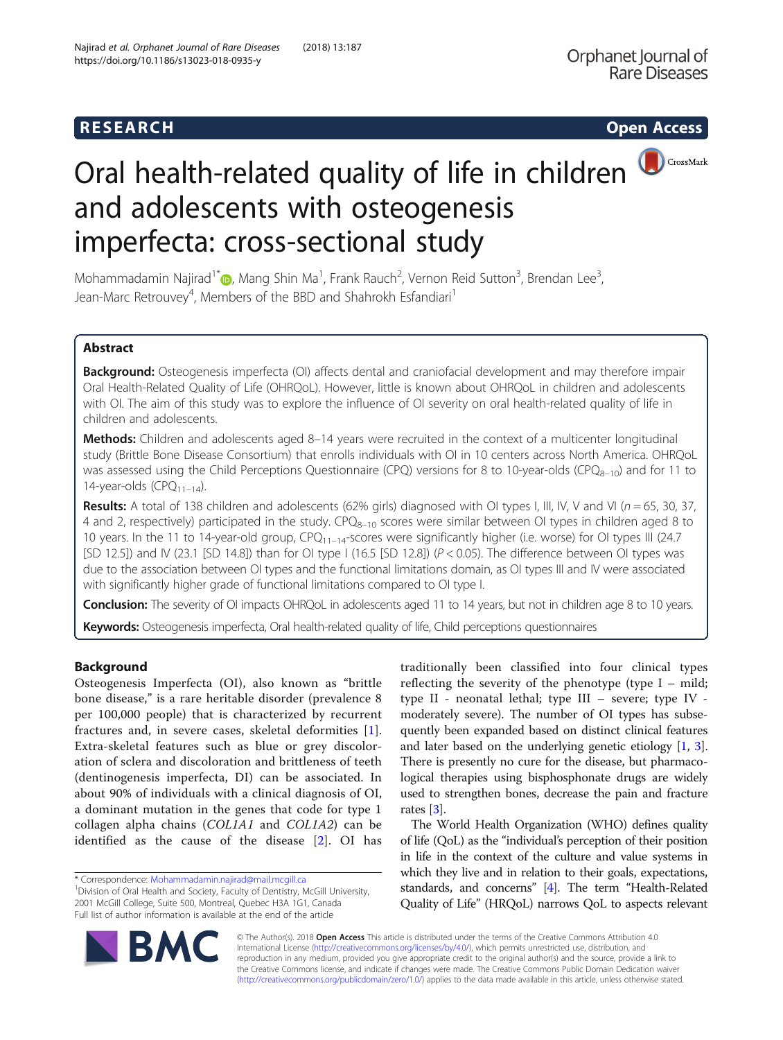# **RESEARCH CHINESEARCH CHINESEARCH CHINESE**

# Oral health-related quality of life in children **OCCOSSMark** and adolescents with osteogenesis imperfecta: cross-sectional study

Mohammadamin Najirad<sup>1\*</sup> $\textsf{O}$ [,](http://orcid.org/0000-0002-5463-5672) Mang Shin Ma<sup>1</sup>, Frank Rauch<sup>2</sup>, Vernon Reid Sutton<sup>3</sup>, Brendan Lee<sup>3</sup> , Jean-Marc Retrouvey<sup>4</sup>, Members of the BBD and Shahrokh Esfandiari<sup>1</sup>

# Abstract

Background: Osteogenesis imperfecta (OI) affects dental and craniofacial development and may therefore impair Oral Health-Related Quality of Life (OHRQoL). However, little is known about OHRQoL in children and adolescents with OI. The aim of this study was to explore the influence of OI severity on oral health-related quality of life in children and adolescents.

Methods: Children and adolescents aged 8–14 years were recruited in the context of a multicenter longitudinal study (Brittle Bone Disease Consortium) that enrolls individuals with OI in 10 centers across North America. OHRQoL was assessed using the Child Perceptions Questionnaire (CPQ) versions for 8 to 10-year-olds (CPQ<sub>8–10</sub>) and for 11 to 14-year-olds (CPQ $_{11-14}$ ).

Results: A total of 138 children and adolescents (62% girls) diagnosed with OI types I, III, IV, V and VI ( $n = 65$ , 30, 37, 4 and 2, respectively) participated in the study.  $CPQ_{8-10}$  scores were similar between OI types in children aged 8 to 10 years. In the 11 to 14-year-old group,  $CPQ_{11-14}$ -scores were significantly higher (i.e. worse) for OI types III (24.7 [SD 12.5]) and IV (23.1 [SD 14.8]) than for OI type I (16.5 [SD 12.8]) ( $P < 0.05$ ). The difference between OI types was due to the association between OI types and the functional limitations domain, as OI types III and IV were associated with significantly higher grade of functional limitations compared to OI type I.

Conclusion: The severity of OI impacts OHRQoL in adolescents aged 11 to 14 years, but not in children age 8 to 10 years. Keywords: Osteogenesis imperfecta, Oral health-related quality of life, Child perceptions questionnaires

# Background

Osteogenesis Imperfecta (OI), also known as "brittle bone disease," is a rare heritable disorder (prevalence 8 per 100,000 people) that is characterized by recurrent fractures and, in severe cases, skeletal deformities [[1](#page-7-0)]. Extra-skeletal features such as blue or grey discoloration of sclera and discoloration and brittleness of teeth (dentinogenesis imperfecta, DI) can be associated. In about 90% of individuals with a clinical diagnosis of OI, a dominant mutation in the genes that code for type 1 collagen alpha chains (COL1A1 and COL1A2) can be identified as the cause of the disease [[2\]](#page-7-0). OI has

\* Correspondence: [Mohammadamin.najirad@mail.mcgill.ca](mailto:Mohammadamin.najirad@mail.mcgill.ca) <sup>1</sup>

<sup>1</sup> Division of Oral Health and Society, Faculty of Dentistry, McGill University, 2001 McGill College, Suite 500, Montreal, Quebec H3A 1G1, Canada Full list of author information is available at the end of the article

traditionally been classified into four clinical types reflecting the severity of the phenotype (type I – mild; type II - neonatal lethal; type III – severe; type IV moderately severe). The number of OI types has subsequently been expanded based on distinct clinical features and later based on the underlying genetic etiology [\[1,](#page-7-0) [3](#page-7-0)]. There is presently no cure for the disease, but pharmacological therapies using bisphosphonate drugs are widely used to strengthen bones, decrease the pain and fracture rates [\[3](#page-7-0)].

The World Health Organization (WHO) defines quality of life (QoL) as the "individual's perception of their position in life in the context of the culture and value systems in which they live and in relation to their goals, expectations, standards, and concerns" [\[4](#page-7-0)]. The term "Health-Related Quality of Life" (HRQoL) narrows QoL to aspects relevant



© The Author(s). 2018 Open Access This article is distributed under the terms of the Creative Commons Attribution 4.0 International License [\(http://creativecommons.org/licenses/by/4.0/](http://creativecommons.org/licenses/by/4.0/)), which permits unrestricted use, distribution, and reproduction in any medium, provided you give appropriate credit to the original author(s) and the source, provide a link to the Creative Commons license, and indicate if changes were made. The Creative Commons Public Domain Dedication waiver [\(http://creativecommons.org/publicdomain/zero/1.0/](http://creativecommons.org/publicdomain/zero/1.0/)) applies to the data made available in this article, unless otherwise stated.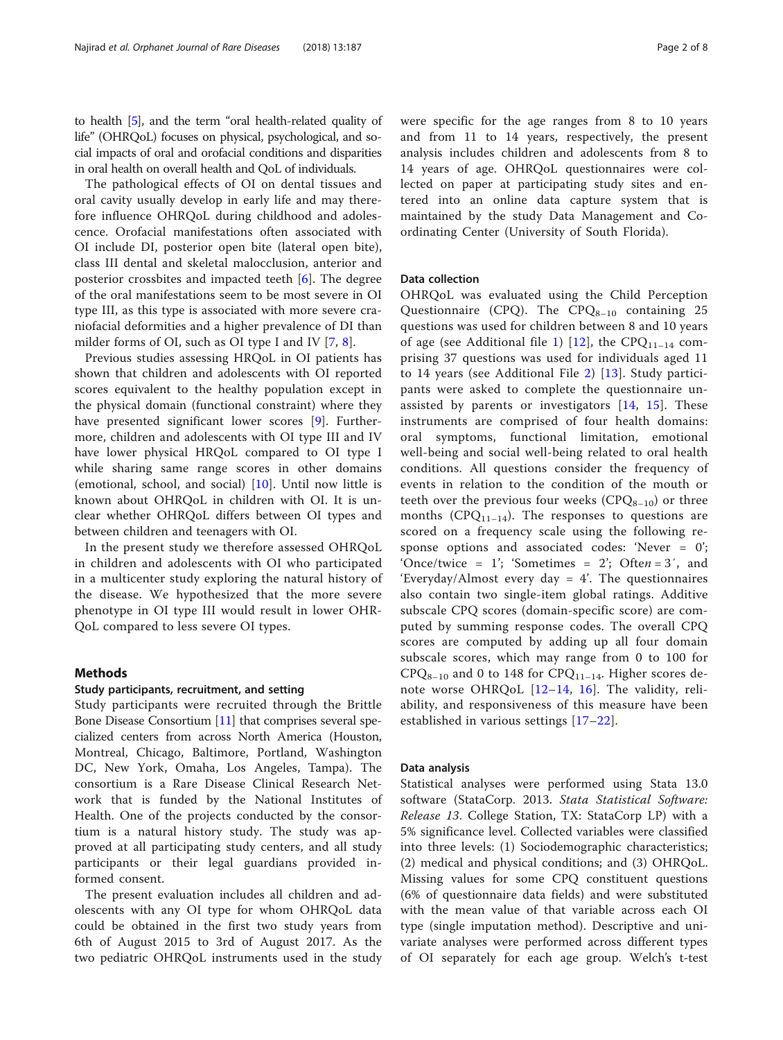to health [\[5\]](#page-7-0), and the term "oral health-related quality of life" (OHRQoL) focuses on physical, psychological, and social impacts of oral and orofacial conditions and disparities in oral health on overall health and QoL of individuals.

The pathological effects of OI on dental tissues and oral cavity usually develop in early life and may therefore influence OHRQoL during childhood and adolescence. Orofacial manifestations often associated with OI include DI, posterior open bite (lateral open bite), class III dental and skeletal malocclusion, anterior and posterior crossbites and impacted teeth [[6\]](#page-7-0). The degree of the oral manifestations seem to be most severe in OI type III, as this type is associated with more severe craniofacial deformities and a higher prevalence of DI than milder forms of OI, such as OI type I and IV [\[7](#page-7-0), [8](#page-7-0)].

Previous studies assessing HRQoL in OI patients has shown that children and adolescents with OI reported scores equivalent to the healthy population except in the physical domain (functional constraint) where they have presented significant lower scores [[9\]](#page-7-0). Furthermore, children and adolescents with OI type III and IV have lower physical HRQoL compared to OI type I while sharing same range scores in other domains (emotional, school, and social)  $[10]$  $[10]$ . Until now little is known about OHRQoL in children with OI. It is unclear whether OHRQoL differs between OI types and between children and teenagers with OI.

In the present study we therefore assessed OHRQoL in children and adolescents with OI who participated in a multicenter study exploring the natural history of the disease. We hypothesized that the more severe phenotype in OI type III would result in lower OHR-QoL compared to less severe OI types.

#### Methods

#### Study participants, recruitment, and setting

Study participants were recruited through the Brittle Bone Disease Consortium [[11](#page-7-0)] that comprises several specialized centers from across North America (Houston, Montreal, Chicago, Baltimore, Portland, Washington DC, New York, Omaha, Los Angeles, Tampa). The consortium is a Rare Disease Clinical Research Network that is funded by the National Institutes of Health. One of the projects conducted by the consortium is a natural history study. The study was approved at all participating study centers, and all study participants or their legal guardians provided informed consent.

The present evaluation includes all children and adolescents with any OI type for whom OHRQoL data could be obtained in the first two study years from 6th of August 2015 to 3rd of August 2017. As the two pediatric OHRQoL instruments used in the study were specific for the age ranges from 8 to 10 years and from 11 to 14 years, respectively, the present analysis includes children and adolescents from 8 to 14 years of age. OHRQoL questionnaires were collected on paper at participating study sites and entered into an online data capture system that is maintained by the study Data Management and Coordinating Center (University of South Florida).

#### Data collection

OHRQoL was evaluated using the Child Perception Questionnaire (CPQ). The  $CPO_{8-10}$  containing 25 questions was used for children between 8 and 10 years of age (see Additional file [1](#page-6-0)) [[12\]](#page-7-0), the CPQ<sub>11–14</sub> comprising 37 questions was used for individuals aged 11 to 14 years (see Additional File [2\)](#page-6-0) [\[13](#page-7-0)]. Study participants were asked to complete the questionnaire unassisted by parents or investigators [[14,](#page-7-0) [15](#page-7-0)]. These instruments are comprised of four health domains: oral symptoms, functional limitation, emotional well-being and social well-being related to oral health conditions. All questions consider the frequency of events in relation to the condition of the mouth or teeth over the previous four weeks  $(CPQ_{8-10})$  or three months (CPQ $_{11-14}$ ). The responses to questions are scored on a frequency scale using the following response options and associated codes: 'Never = 0'; 'Once/twice = 1'; 'Sometimes = 2'; Often = 3', and 'Everyday/Almost every day  $= 4$ '. The questionnaires also contain two single-item global ratings. Additive subscale CPQ scores (domain-specific score) are computed by summing response codes. The overall CPQ scores are computed by adding up all four domain subscale scores, which may range from 0 to 100 for  $CPO_{8-10}$  and 0 to 148 for  $CPO_{11-14}$ . Higher scores denote worse OHRQoL [[12](#page-7-0)–[14](#page-7-0), [16\]](#page-7-0). The validity, reliability, and responsiveness of this measure have been established in various settings [[17](#page-7-0)–[22\]](#page-7-0).

#### Data analysis

Statistical analyses were performed using Stata 13.0 software (StataCorp. 2013. Stata Statistical Software: Release 13. College Station, TX: StataCorp LP) with a 5% significance level. Collected variables were classified into three levels: (1) Sociodemographic characteristics; (2) medical and physical conditions; and (3) OHRQoL. Missing values for some CPQ constituent questions (6% of questionnaire data fields) and were substituted with the mean value of that variable across each OI type (single imputation method). Descriptive and univariate analyses were performed across different types of OI separately for each age group. Welch's t-test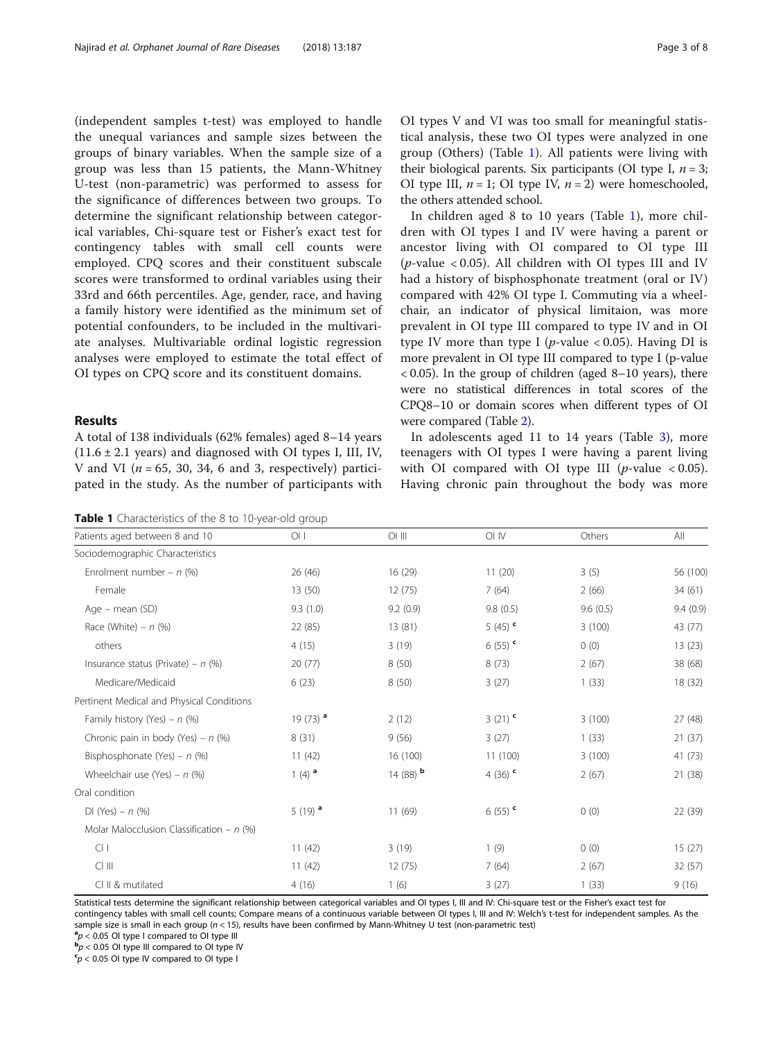(independent samples t-test) was employed to handle the unequal variances and sample sizes between the groups of binary variables. When the sample size of a group was less than 15 patients, the Mann-Whitney U-test (non-parametric) was performed to assess for the significance of differences between two groups. To determine the significant relationship between categorical variables, Chi-square test or Fisher's exact test for contingency tables with small cell counts were employed. CPQ scores and their constituent subscale scores were transformed to ordinal variables using their 33rd and 66th percentiles. Age, gender, race, and having a family history were identified as the minimum set of potential confounders, to be included in the multivariate analyses. Multivariable ordinal logistic regression analyses were employed to estimate the total effect of OI types on CPQ score and its constituent domains.

### Results

A total of 138 individuals (62% females) aged 8–14 years  $(11.6 \pm 2.1 \text{ years})$  and diagnosed with OI types I, III, IV, V and VI ( $n = 65$ , 30, 34, 6 and 3, respectively) participated in the study. As the number of participants with

| Table 1 Characteristics of the 8 to 10-year-old group |  |
|-------------------------------------------------------|--|
|-------------------------------------------------------|--|

OI types V and VI was too small for meaningful statistical analysis, these two OI types were analyzed in one group (Others) (Table 1). All patients were living with their biological parents. Six participants (OI type I,  $n = 3$ ; OI type III,  $n = 1$ ; OI type IV,  $n = 2$ ) were homeschooled, the others attended school.

In children aged 8 to 10 years (Table 1), more children with OI types I and IV were having a parent or ancestor living with OI compared to OI type III ( $p$ -value < 0.05). All children with OI types III and IV had a history of bisphosphonate treatment (oral or IV) compared with 42% OI type I. Commuting via a wheelchair, an indicator of physical limitaion, was more prevalent in OI type III compared to type IV and in OI type IV more than type I ( $p$ -value < 0.05). Having DI is more prevalent in OI type III compared to type I (p-value  $<$  0.05). In the group of children (aged 8–10 years), there were no statistical differences in total scores of the CPQ8–10 or domain scores when different types of OI were compared (Table [2](#page-3-0)).

In adolescents aged 11 to 14 years (Table [3\)](#page-3-0), more teenagers with OI types I were having a parent living with OI compared with OI type III ( $p$ -value < 0.05). Having chronic pain throughout the body was more

| Patients aged between 8 and 10              | O <sub>1</sub>         | $OI$ $III$             | OI IV                 | Others   | All      |
|---------------------------------------------|------------------------|------------------------|-----------------------|----------|----------|
| Sociodemographic Characteristics            |                        |                        |                       |          |          |
| Enrolment number - $n$ (%)                  | 26 (46)                | 16(29)                 | 11(20)                | 3(5)     | 56 (100) |
| Female                                      | 13(50)                 | 12(75)                 | 7(64)                 | 2(66)    | 34 (61)  |
| Age – mean (SD)                             | 9.3(1.0)               | 9.2(0.9)               | 9.8(0.5)              | 9.6(0.5) | 9.4(0.9) |
| Race (White) $- n$ (%)                      | 22 (85)                | 13 (81)                | 5 $(45)$ <sup>c</sup> | 3(100)   | 43 (77)  |
| others                                      | 4(15)                  | 3(19)                  | 6 $(55)$ <sup>c</sup> | 0(0)     | 13(23)   |
| Insurance status (Private) – $n$ (%)        | 20(77)                 | 8(50)                  | 8(73)                 | 2(67)    | 38 (68)  |
| Medicare/Medicaid                           | 6(23)                  | 8(50)                  | 3(27)                 | 1(33)    | 18 (32)  |
| Pertinent Medical and Physical Conditions   |                        |                        |                       |          |          |
| Family history (Yes) – $n$ (%)              | 19 $(73)$ <sup>a</sup> | 2(12)                  | 3(21)                 | 3(100)   | 27 (48)  |
| Chronic pain in body (Yes) – $n$ (%)        | 8(31)                  | 9(56)                  | 3(27)                 | 1(33)    | 21(37)   |
| Bisphosphonate (Yes) - $n$ (%)              | 11(42)                 | 16 (100)               | 11 (100)              | 3(100)   | 41 (73)  |
| Wheelchair use (Yes) – $n$ (%)              | 1 $(4)$ <sup>a</sup>   | 14 $(88)$ <sup>b</sup> | 4 (36) $c$            | 2(67)    | 21 (38)  |
| Oral condition                              |                        |                        |                       |          |          |
| $DI (Yes) - n (%)$                          | 5 $(19)$ <sup>a</sup>  | 11(69)                 | 6 $(55)$ <sup>c</sup> | 0(0)     | 22 (39)  |
| Molar Malocclusion Classification - $n$ (%) |                        |                        |                       |          |          |
| Cl <sub>1</sub>                             | 11(42)                 | 3(19)                  | 1(9)                  | 0(0)     | 15(27)   |
| $Cl$ III                                    | 11(42)                 | 12(75)                 | 7(64)                 | 2(67)    | 32 (57)  |
| CI II & mutilated                           | 4(16)                  | 1(6)                   | 3(27)                 | 1(33)    | 9(16)    |

Statistical tests determine the significant relationship between categorical variables and OI types I, III and IV: Chi-square test or the Fisher's exact test for contingency tables with small cell counts; Compare means of a continuous variable between OI types I, III and IV: Welch's t-test for independent samples. As the sample size is small in each group ( $n < 15$ ), results have been confirmed by Mann-Whitney U test (non-parametric test)  $a<sub>D</sub> < 0.05$  OI type I compared to OI type III

 ${}^{\text{a}}p$  < 0.05 OI type I compared to OI type III<br> ${}^{\text{b}}p$  < 0.05 OI type III compared to OI type I

 ${}^{\text{p}}\rho$  < 0.05 OI type III compared to OI type IV  ${}^{\text{c}}\rho$  < 0.05 OI type IV compared to OI type I

 $p < 0.05$  OI type IV compared to OI type I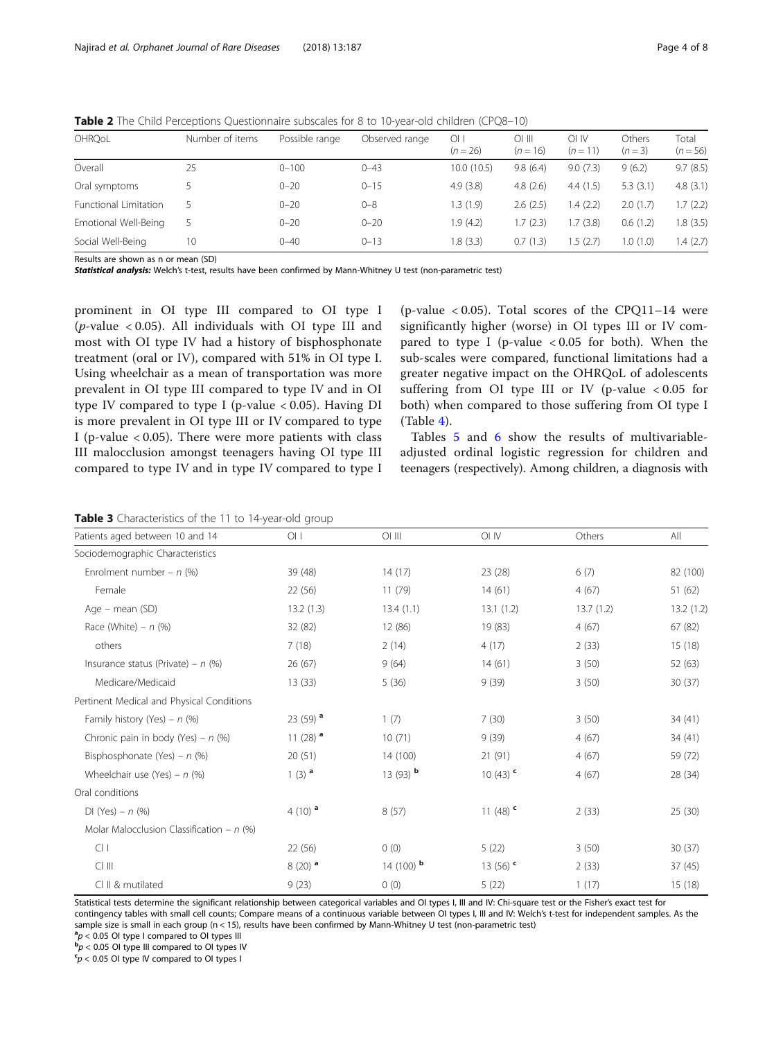| OHRQoL                | Number of items | Possible range | Observed range | 01 I<br>$(n = 26)$ | $\bigcirc$ lii<br>$(n = 16)$ | OIN<br>$(n = 11)$ | Others<br>$(n=3)$ | Total<br>$(n = 56)$ |
|-----------------------|-----------------|----------------|----------------|--------------------|------------------------------|-------------------|-------------------|---------------------|
| Overall               | 25              | $0 - 100$      | $0 - 43$       | 10.0(10.5)         | 9.8(6.4)                     | 9.0(7.3)          | 9(6.2)            | 9.7(8.5)            |
| Oral symptoms         |                 | $0 - 20$       | $0 - 15$       | 4.9(3.8)           | 4.8(2.6)                     | 4.4(1.5)          | 5.3(3.1)          | 4.8(3.1)            |
| Functional Limitation |                 | $0 - 20$       | $0 - 8$        | 1.3(1.9)           | 2.6(2.5)                     | 1.4(2.2)          | 2.0(1.7)          | 1.7(2.2)            |
| Emotional Well-Being  |                 | $0 - 20$       | $0 - 20$       | 1.9 (4.2)          | 1.7(2.3)                     | 1.7(3.8)          | 0.6(1.2)          | 1.8 (3.5)           |
| Social Well-Being     | 10              | $0 - 40$       | $0 - 13$       | 1.8(3.3)           | 0.7(1.3)                     | 1.5(2.7)          | 1.0(1.0)          | 1.4(2.7)            |

<span id="page-3-0"></span>Table 2 The Child Perceptions Questionnaire subscales for 8 to 10-year-old children (CPQ8-10)

Results are shown as n or mean (SD)

Statistical analysis: Welch's t-test, results have been confirmed by Mann-Whitney U test (non-parametric test)

prominent in OI type III compared to OI type I ( $p$ -value < 0.05). All individuals with OI type III and most with OI type IV had a history of bisphosphonate treatment (oral or IV), compared with 51% in OI type I. Using wheelchair as a mean of transportation was more prevalent in OI type III compared to type IV and in OI type IV compared to type I (p-value < 0.05). Having DI is more prevalent in OI type III or IV compared to type I (p-value  $< 0.05$ ). There were more patients with class III malocclusion amongst teenagers having OI type III compared to type IV and in type IV compared to type I

(p-value  $< 0.05$ ). Total scores of the CPQ11-14 were significantly higher (worse) in OI types III or IV compared to type I (p-value  $< 0.05$  for both). When the sub-scales were compared, functional limitations had a greater negative impact on the OHRQoL of adolescents suffering from OI type III or IV (p-value < 0.05 for both) when compared to those suffering from OI type I (Table [4\)](#page-4-0).

Tables [5](#page-4-0) and [6](#page-5-0) show the results of multivariableadjusted ordinal logistic regression for children and teenagers (respectively). Among children, a diagnosis with

Table 3 Characteristics of the 11 to 14-year-old group

| Patients aged between 10 and 14             | O <sub>l</sub>         | $O1$ III               | OI IV                  | Others    | All       |
|---------------------------------------------|------------------------|------------------------|------------------------|-----------|-----------|
| Sociodemographic Characteristics            |                        |                        |                        |           |           |
| Enrolment number – $n$ (%)                  | 39 (48)                | 14(17)                 | 23 (28)                | 6(7)      | 82 (100)  |
| Female                                      | 22 (56)                | 11(79)                 | 14(61)                 | 4(67)     | 51 (62)   |
| Age – mean (SD)                             | 13.2(1.3)              | 13.4(1.1)              | 13.1(1.2)              | 13.7(1.2) | 13.2(1.2) |
| Race (White) – $n$ (%)                      | 32 (82)                | 12 (86)                | 19 (83)                | 4(67)     | 67 (82)   |
| others                                      | 7(18)                  | 2(14)                  | 4(17)                  | 2(33)     | 15 (18)   |
| Insurance status (Private) – $n$ (%)        | 26(67)                 | 9(64)                  | 14(61)                 | 3(50)     | 52 (63)   |
| Medicare/Medicaid                           | 13(33)                 | 5(36)                  | 9(39)                  | 3(50)     | 30(37)    |
| Pertinent Medical and Physical Conditions   |                        |                        |                        |           |           |
| Family history (Yes) – $n$ (%)              | 23 (59) $^{\circ}$     | 1(7)                   | 7(30)                  | 3(50)     | 34 (41)   |
| Chronic pain in body (Yes) – $n$ (%)        | 11 $(28)$ <sup>a</sup> | 10(71)                 | 9(39)                  | 4(67)     | 34 (41)   |
| Bisphosphonate (Yes) - $n$ (%)              | 20(51)                 | 14 (100)               | 21(91)                 | 4(67)     | 59 (72)   |
| Wheelchair use (Yes) – $n$ (%)              | 1 $(3)$ <sup>a</sup>   | 13 $(93)$ <sup>b</sup> | 10 $(43)$ <sup>c</sup> | 4(67)     | 28 (34)   |
| Oral conditions                             |                        |                        |                        |           |           |
| $DI (Yes) - n (%)$                          | 4 (10) $^{\circ}$      | 8(57)                  | 11 $(48)$ <sup>c</sup> | 2(33)     | 25 (30)   |
| Molar Malocclusion Classification - $n$ (%) |                        |                        |                        |           |           |
| Cl <sub>1</sub>                             | 22 (56)                | 0(0)                   | 5(22)                  | 3(50)     | 30(37)    |
| $Cl$ III                                    | $8(20)$ <sup>a</sup>   | 14 (100) $b$           | 13 $(56)$ <sup>c</sup> | 2(33)     | 37(45)    |
| CI II & mutilated                           | 9(23)                  | 0(0)                   | 5(22)                  | 1(17)     | 15 (18)   |

Statistical tests determine the significant relationship between categorical variables and OI types I, III and IV: Chi-square test or the Fisher's exact test for contingency tables with small cell counts; Compare means of a continuous variable between OI types I, III and IV: Welch's t-test for independent samples. As the

sample size is small in each group (n < 15), results have been confirmed by Mann-Whitney U test (non-parametric test)

 $a_p < 0.05$  OI type I compared to OI types III

 ${}^{\textsf{p}}$  $p$  < 0.05 OI type III compared to OI types IV  ${}^{\textsf{c}}$  n  $<$  0.05 OI type IV compared to OI types I

 $\epsilon_p$  < 0.05 OI type IV compared to OI types I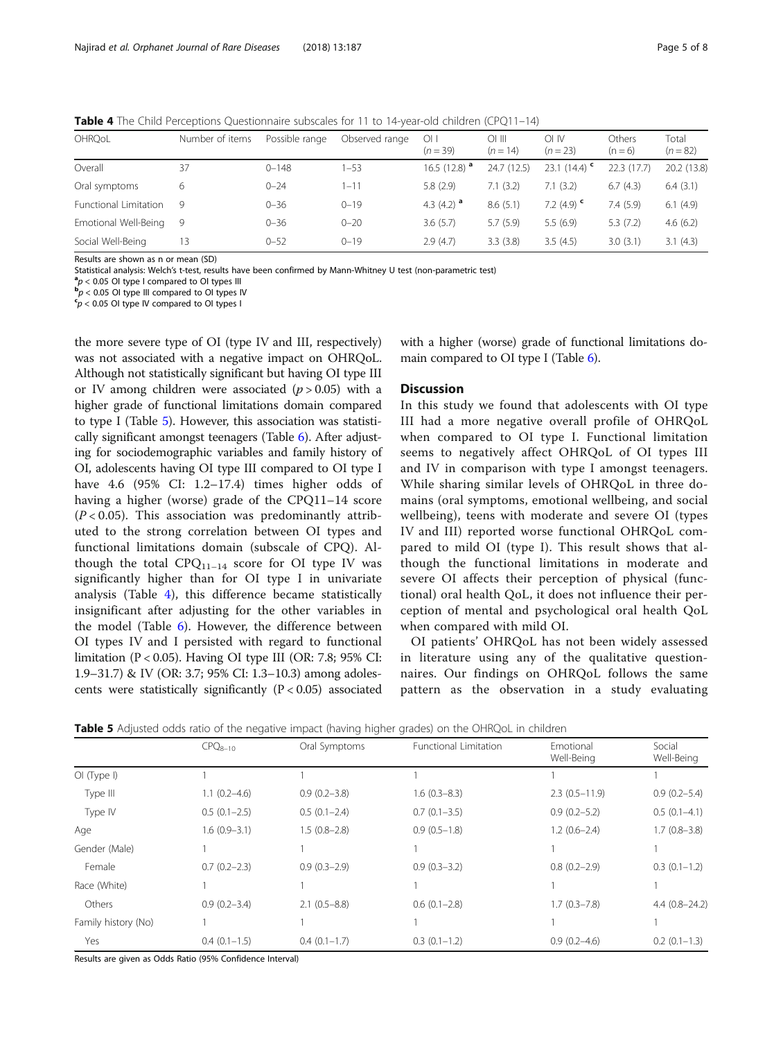<span id="page-4-0"></span>Table 4 The Child Perceptions Questionnaire subscales for 11 to 14-year-old children (CPQ11-14)

| OHRQoL                | Number of items | Possible range | Observed range | O <sub>1</sub><br>$(n = 39)$ | $O1$ III<br>$(n = 14)$ | oi iv<br>$(n = 23)$      | Others<br>$(n = 6)$ | Total<br>$(n = 82)$ |
|-----------------------|-----------------|----------------|----------------|------------------------------|------------------------|--------------------------|---------------------|---------------------|
| Overall               | 37              | $0 - 148$      | $1 - 53$       | 16.5 (12.8) $^{\circ}$       | 24.7 (12.5)            | 23.1 $(14.4)$            | 22.3(17.7)          | 20.2 (13.8)         |
| Oral symptoms         | 6               | $0 - 24$       | 1-11           | 5.8(2.9)                     | 7.1(3.2)               | 7.1(3.2)                 | 6.7(4.3)            | 6.4(3.1)            |
| Functional Limitation | 9               | $0 - 36$       | $0 - 19$       | 4.3 $(4.2)$ <sup>a</sup>     | 8.6(5.1)               | 7.2 $(4.9)$ <sup>c</sup> | 7.4(5.9)            | 6.1(4.9)            |
| Emotional Well-Being  | -9              | $0 - 36$       | $0 - 20$       | 3.6(5.7)                     | 5.7(5.9)               | 5.5(6.9)                 | 5.3(7.2)            | 4.6(6.2)            |
| Social Well-Being     | 13              | $0 - 52$       | $0 - 19$       | 2.9(4.7)                     | 3.3(3.8)               | 3.5(4.5)                 | 3.0(3.1)            | 3.1(4.3)            |

Results are shown as n or mean (SD)

Statistical analysis: Welch's t-test, results have been confirmed by Mann-Whitney U test (non-parametric test) <sup>a</sup>

 ${}^{\text{a}}p$  < 0.05 OI type I compared to OI types III

 **OI type III compared to OI types IV** 

 $p < 0.05$  OI type IV compared to OI types I

the more severe type of OI (type IV and III, respectively) was not associated with a negative impact on OHRQoL. Although not statistically significant but having OI type III or IV among children were associated  $(p > 0.05)$  with a higher grade of functional limitations domain compared to type I (Table 5). However, this association was statistically significant amongst teenagers (Table [6\)](#page-5-0). After adjusting for sociodemographic variables and family history of OI, adolescents having OI type III compared to OI type I have 4.6 (95% CI: 1.2–17.4) times higher odds of having a higher (worse) grade of the CPQ11–14 score  $(P < 0.05)$ . This association was predominantly attributed to the strong correlation between OI types and functional limitations domain (subscale of CPQ). Although the total  $CPQ_{11-14}$  score for OI type IV was significantly higher than for OI type I in univariate analysis (Table 4), this difference became statistically insignificant after adjusting for the other variables in the model (Table [6\)](#page-5-0). However, the difference between OI types IV and I persisted with regard to functional limitation (P < 0.05). Having OI type III (OR: 7.8; 95% CI: 1.9–31.7) & IV (OR: 3.7; 95% CI: 1.3–10.3) among adolescents were statistically significantly  $(P < 0.05)$  associated

with a higher (worse) grade of functional limitations domain compared to OI type I (Table [6\)](#page-5-0).

#### **Discussion**

In this study we found that adolescents with OI type III had a more negative overall profile of OHRQoL when compared to OI type I. Functional limitation seems to negatively affect OHRQoL of OI types III and IV in comparison with type I amongst teenagers. While sharing similar levels of OHRQoL in three domains (oral symptoms, emotional wellbeing, and social wellbeing), teens with moderate and severe OI (types IV and III) reported worse functional OHRQoL compared to mild OI (type I). This result shows that although the functional limitations in moderate and severe OI affects their perception of physical (functional) oral health QoL, it does not influence their perception of mental and psychological oral health QoL when compared with mild OI.

OI patients' OHRQoL has not been widely assessed in literature using any of the qualitative questionnaires. Our findings on OHRQoL follows the same pattern as the observation in a study evaluating

**Table 5** Adjusted odds ratio of the negative impact (having higher grades) on the OHROoL in children

|                     | $CPO_{8-10}$     | Oral Symptoms    | Functional Limitation | Emotional<br>Well-Being | Social<br>Well-Being |
|---------------------|------------------|------------------|-----------------------|-------------------------|----------------------|
| OI(Type I)          |                  |                  |                       |                         |                      |
| Type III            | $1.1(0.2-4.6)$   | $0.9(0.2 - 3.8)$ | $1.6(0.3-8.3)$        | $2.3(0.5-11.9)$         | $0.9(0.2 - 5.4)$     |
| Type IV             | $0.5(0.1-2.5)$   | $0.5(0.1 - 2.4)$ | $0.7(0.1-3.5)$        | $0.9(0.2 - 5.2)$        | $0.5(0.1-4.1)$       |
| Age                 | $1.6(0.9-3.1)$   | $1.5(0.8-2.8)$   | $0.9(0.5-1.8)$        | $1.2(0.6-2.4)$          | $1.7(0.8-3.8)$       |
| Gender (Male)       |                  |                  |                       |                         |                      |
| Female              | $0.7(0.2 - 2.3)$ | $0.9(0.3-2.9)$   | $0.9(0.3-3.2)$        | $0.8(0.2 - 2.9)$        | $0.3(0.1-1.2)$       |
| Race (White)        |                  |                  |                       |                         |                      |
| Others              | $0.9(0.2 - 3.4)$ | $2.1(0.5 - 8.8)$ | $0.6(0.1-2.8)$        | $1.7(0.3 - 7.8)$        | $4.4(0.8-24.2)$      |
| Family history (No) |                  |                  |                       |                         |                      |
| Yes                 | $0.4(0.1-1.5)$   | $0.4(0.1-1.7)$   | $0.3(0.1-1.2)$        | $0.9(0.2 - 4.6)$        | $0.2$ $(0.1-1.3)$    |

Results are given as Odds Ratio (95% Confidence Interval)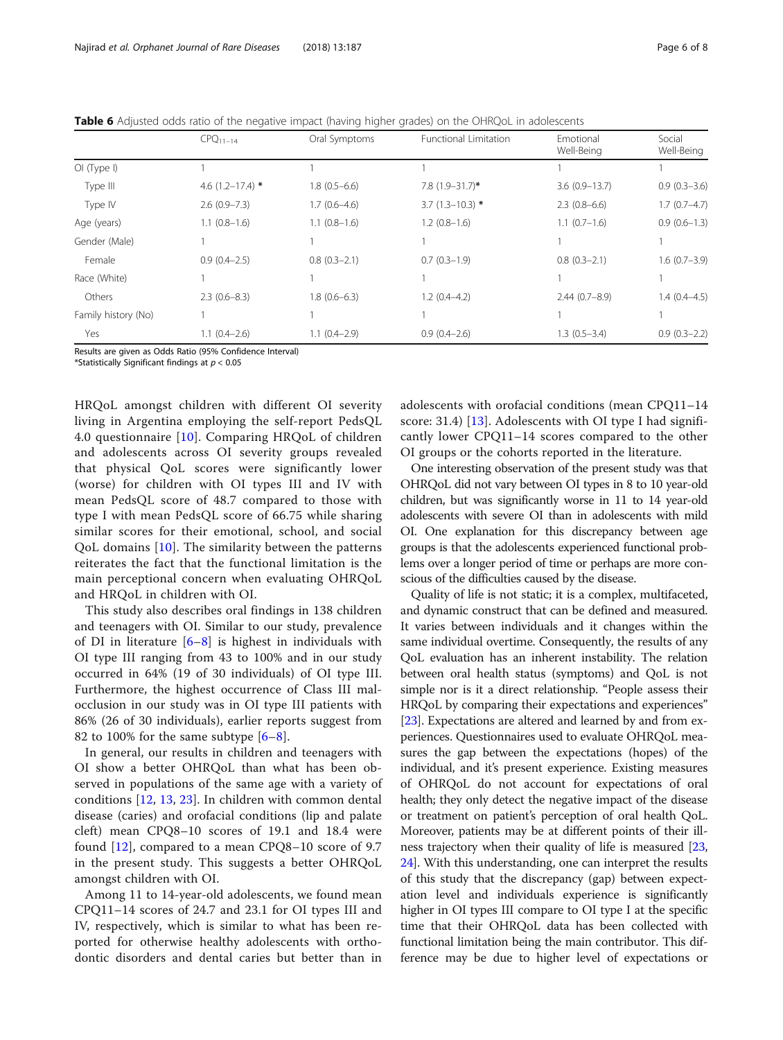<span id="page-5-0"></span>

| Table 6 Adjusted odds ratio of the negative impact (having higher grades) on the OHRQoL in adolescents |  |  |  |
|--------------------------------------------------------------------------------------------------------|--|--|--|
|--------------------------------------------------------------------------------------------------------|--|--|--|

|                     | $CPO11-14$           | Oral Symptoms  | Functional Limitation | Emotional<br>Well-Being | Social<br>Well-Being |
|---------------------|----------------------|----------------|-----------------------|-------------------------|----------------------|
| OI(Type I)          |                      |                |                       |                         |                      |
| Type III            | 4.6 $(1.2 - 17.4)$ * | $1.8(0.5-6.6)$ | $7.8(1.9 - 31.7)^*$   | $3.6(0.9 - 13.7)$       | $0.9(0.3-3.6)$       |
| Type IV             | $2.6(0.9 - 7.3)$     | $1.7(0.6-4.6)$ | $3.7(1.3-10.3)$ *     | $2.3(0.8-6.6)$          | $1.7(0.7-4.7)$       |
| Age (years)         | $1.1(0.8-1.6)$       | $1.1(0.8-1.6)$ | $1.2(0.8-1.6)$        | $1.1(0.7-1.6)$          | $0.9(0.6-1.3)$       |
| Gender (Male)       |                      |                |                       |                         |                      |
| Female              | $0.9(0.4-2.5)$       | $0.8(0.3-2.1)$ | $0.7(0.3-1.9)$        | $0.8(0.3-2.1)$          | $1.6(0.7-3.9)$       |
| Race (White)        |                      |                |                       |                         |                      |
| Others              | $2.3(0.6-8.3)$       | $1.8(0.6-6.3)$ | $1.2(0.4-4.2)$        | $2.44(0.7-8.9)$         | $1.4(0.4-4.5)$       |
| Family history (No) |                      |                |                       |                         |                      |
| Yes                 | $1.1(0.4-2.6)$       | $1.1(0.4-2.9)$ | $0.9(0.4-2.6)$        | $1.3(0.5-3.4)$          | $0.9(0.3-2.2)$       |

Results are given as Odds Ratio (95% Confidence Interval)

\*Statistically Significant findings at  $p < 0.05$ 

HRQoL amongst children with different OI severity living in Argentina employing the self-report PedsQL 4.0 questionnaire [\[10\]](#page-7-0). Comparing HRQoL of children and adolescents across OI severity groups revealed that physical QoL scores were significantly lower (worse) for children with OI types III and IV with mean PedsQL score of 48.7 compared to those with type I with mean PedsQL score of 66.75 while sharing similar scores for their emotional, school, and social QoL domains [[10\]](#page-7-0). The similarity between the patterns reiterates the fact that the functional limitation is the main perceptional concern when evaluating OHRQoL and HRQoL in children with OI.

This study also describes oral findings in 138 children and teenagers with OI. Similar to our study, prevalence of DI in literature  $[6-8]$  $[6-8]$  $[6-8]$  $[6-8]$  is highest in individuals with OI type III ranging from 43 to 100% and in our study occurred in 64% (19 of 30 individuals) of OI type III. Furthermore, the highest occurrence of Class III malocclusion in our study was in OI type III patients with 86% (26 of 30 individuals), earlier reports suggest from [8](#page-7-0)2 to 100% for the same subtype  $[6-8]$  $[6-8]$ .

In general, our results in children and teenagers with OI show a better OHRQoL than what has been observed in populations of the same age with a variety of conditions  $[12, 13, 23]$  $[12, 13, 23]$  $[12, 13, 23]$  $[12, 13, 23]$  $[12, 13, 23]$ . In children with common dental disease (caries) and orofacial conditions (lip and palate cleft) mean CPQ8–10 scores of 19.1 and 18.4 were found [[12\]](#page-7-0), compared to a mean CPQ8–10 score of 9.7 in the present study. This suggests a better OHRQoL amongst children with OI.

Among 11 to 14-year-old adolescents, we found mean CPQ11–14 scores of 24.7 and 23.1 for OI types III and IV, respectively, which is similar to what has been reported for otherwise healthy adolescents with orthodontic disorders and dental caries but better than in adolescents with orofacial conditions (mean CPQ11–14 score: 31.4) [\[13](#page-7-0)]. Adolescents with OI type I had significantly lower CPQ11–14 scores compared to the other OI groups or the cohorts reported in the literature.

One interesting observation of the present study was that OHRQoL did not vary between OI types in 8 to 10 year-old children, but was significantly worse in 11 to 14 year-old adolescents with severe OI than in adolescents with mild OI. One explanation for this discrepancy between age groups is that the adolescents experienced functional problems over a longer period of time or perhaps are more conscious of the difficulties caused by the disease.

Quality of life is not static; it is a complex, multifaceted, and dynamic construct that can be defined and measured. It varies between individuals and it changes within the same individual overtime. Consequently, the results of any QoL evaluation has an inherent instability. The relation between oral health status (symptoms) and QoL is not simple nor is it a direct relationship. "People assess their HRQoL by comparing their expectations and experiences" [[23](#page-7-0)]. Expectations are altered and learned by and from experiences. Questionnaires used to evaluate OHRQoL measures the gap between the expectations (hopes) of the individual, and it's present experience. Existing measures of OHRQoL do not account for expectations of oral health; they only detect the negative impact of the disease or treatment on patient's perception of oral health QoL. Moreover, patients may be at different points of their illness trajectory when their quality of life is measured [[23](#page-7-0), [24](#page-7-0)]. With this understanding, one can interpret the results of this study that the discrepancy (gap) between expectation level and individuals experience is significantly higher in OI types III compare to OI type I at the specific time that their OHRQoL data has been collected with functional limitation being the main contributor. This difference may be due to higher level of expectations or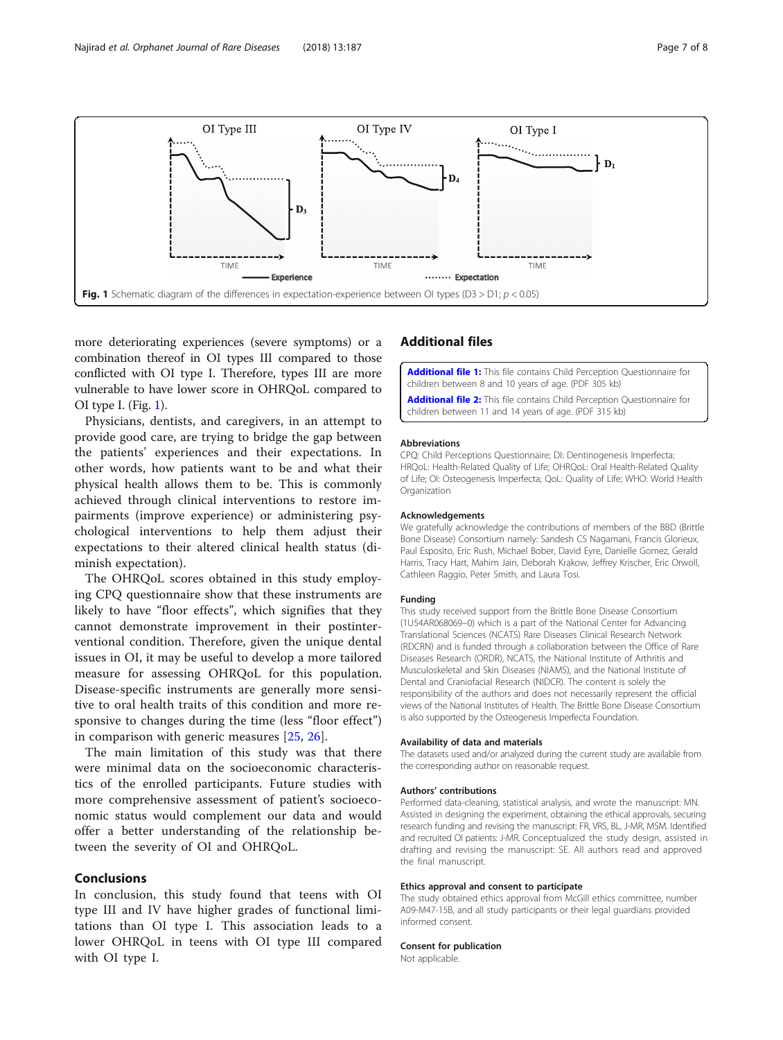<span id="page-6-0"></span>

more deteriorating experiences (severe symptoms) or a combination thereof in OI types III compared to those conflicted with OI type I. Therefore, types III are more vulnerable to have lower score in OHRQoL compared to OI type I. (Fig. 1).

Physicians, dentists, and caregivers, in an attempt to provide good care, are trying to bridge the gap between the patients' experiences and their expectations. In other words, how patients want to be and what their physical health allows them to be. This is commonly achieved through clinical interventions to restore impairments (improve experience) or administering psychological interventions to help them adjust their expectations to their altered clinical health status (diminish expectation).

The OHRQoL scores obtained in this study employing CPQ questionnaire show that these instruments are likely to have "floor effects", which signifies that they cannot demonstrate improvement in their postinterventional condition. Therefore, given the unique dental issues in OI, it may be useful to develop a more tailored measure for assessing OHRQoL for this population. Disease-specific instruments are generally more sensitive to oral health traits of this condition and more responsive to changes during the time (less "floor effect") in comparison with generic measures [[25,](#page-7-0) [26\]](#page-7-0).

The main limitation of this study was that there were minimal data on the socioeconomic characteristics of the enrolled participants. Future studies with more comprehensive assessment of patient's socioeconomic status would complement our data and would offer a better understanding of the relationship between the severity of OI and OHRQoL.

#### Conclusions

In conclusion, this study found that teens with OI type III and IV have higher grades of functional limitations than OI type I. This association leads to a lower OHRQoL in teens with OI type III compared with OI type I.

## Additional files

[Additional file 1:](https://doi.org/10.1186/s13023-018-0935-y) This file contains Child Perception Questionnaire for children between 8 and 10 years of age. (PDF 305 kb)

[Additional file 2:](https://doi.org/10.1186/s13023-018-0935-y) This file contains Child Perception Questionnaire for children between 11 and 14 years of age. (PDF 315 kb)

#### Abbreviations

CPQ: Child Perceptions Questionnaire; DI: Dentinogenesis Imperfecta; HRQoL: Health-Related Quality of Life; OHRQoL: Oral Health-Related Quality of Life; OI: Osteogenesis Imperfecta; QoL: Quality of Life; WHO: World Health Organization

#### Acknowledgements

We gratefully acknowledge the contributions of members of the BBD (Brittle Bone Disease) Consortium namely: Sandesh CS Nagamani, Francis Glorieux, Paul Esposito, Eric Rush, Michael Bober, David Eyre, Danielle Gomez, Gerald Harris, Tracy Hart, Mahim Jain, Deborah Krakow, Jeffrey Krischer, Eric Orwoll, Cathleen Raggio, Peter Smith, and Laura Tosi.

#### Funding

This study received support from the Brittle Bone Disease Consortium (1U54AR068069–0) which is a part of the National Center for Advancing Translational Sciences (NCATS) Rare Diseases Clinical Research Network (RDCRN) and is funded through a collaboration between the Office of Rare Diseases Research (ORDR), NCATS, the National Institute of Arthritis and Musculoskeletal and Skin Diseases (NIAMS), and the National Institute of Dental and Craniofacial Research (NIDCR). The content is solely the responsibility of the authors and does not necessarily represent the official views of the National Institutes of Health. The Brittle Bone Disease Consortium is also supported by the Osteogenesis Imperfecta Foundation.

#### Availability of data and materials

The datasets used and/or analyzed during the current study are available from the corresponding author on reasonable request.

#### Authors' contributions

Performed data-cleaning, statistical analysis, and wrote the manuscript: MN. Assisted in designing the experiment, obtaining the ethical approvals, securing research funding and revising the manuscript: FR, VRS, BL, J-MR, MSM. Identified and recruited OI patients: J-MR. Conceptualized the study design, assisted in drafting and revising the manuscript: SE. All authors read and approved the final manuscript.

#### Ethics approval and consent to participate

The study obtained ethics approval from McGill ethics committee, number A09-M47-15B, and all study participants or their legal guardians provided informed consent.

#### Consent for publication

Not applicable.